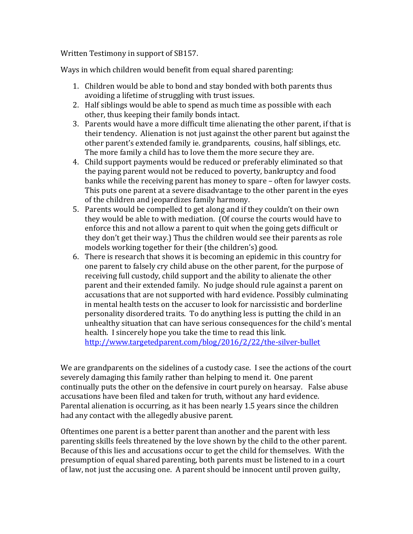Written Testimony in support of SB157.

Ways in which children would benefit from equal shared parenting:

- 1. Children would be able to bond and stay bonded with both parents thus avoiding a lifetime of struggling with trust issues.
- 2. Half siblings would be able to spend as much time as possible with each other, thus keeping their family bonds intact.
- 3. Parents would have a more difficult time alienating the other parent, if that is their tendency. Alienation is not just against the other parent but against the other parent's extended family ie. grandparents, cousins, half siblings, etc. The more family a child has to love them the more secure they are.
- 4. Child support payments would be reduced or preferably eliminated so that the paying parent would not be reduced to poverty, bankruptcy and food banks while the receiving parent has money to spare – often for lawyer costs. This puts one parent at a severe disadvantage to the other parent in the eyes of the children and jeopardizes family harmony.
- 5. Parents would be compelled to get along and if they couldn't on their own they would be able to with mediation. (Of course the courts would have to enforce this and not allow a parent to quit when the going gets difficult or they don't get their way.) Thus the children would see their parents as role models working together for their (the children's) good.
- 6. There is research that shows it is becoming an epidemic in this country for one parent to falsely cry child abuse on the other parent, for the purpose of receiving full custody, child support and the ability to alienate the other parent and their extended family. No judge should rule against a parent on accusations that are not supported with hard evidence. Possibly culminating in mental health tests on the accuser to look for narcissistic and borderline personality disordered traits. To do anything less is putting the child in an unhealthy situation that can have serious consequences for the child's mental health. I sincerely hope you take the time to read this link. <http://www.targetedparent.com/blog/2016/2/22/the-silver-bullet>

We are grandparents on the sidelines of a custody case. I see the actions of the court severely damaging this family rather than helping to mend it. One parent continually puts the other on the defensive in court purely on hearsay. False abuse accusations have been filed and taken for truth, without any hard evidence. Parental alienation is occurring, as it has been nearly 1.5 years since the children had any contact with the allegedly abusive parent.

Oftentimes one parent is a better parent than another and the parent with less parenting skills feels threatened by the love shown by the child to the other parent. Because of this lies and accusations occur to get the child for themselves. With the presumption of equal shared parenting, both parents must be listened to in a court of law, not just the accusing one. A parent should be innocent until proven guilty,